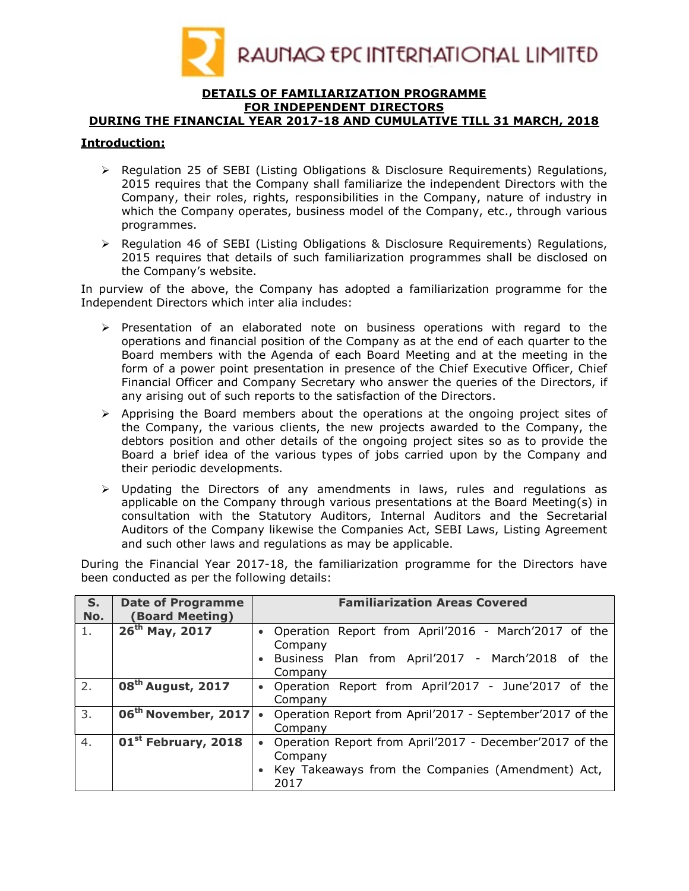

### DETAILS OF FAMILIARIZATION PROGRAMME FOR INDEPENDENT DIRECTORS

# DURING THE FINANCIAL YEAR 2017-18 AND CUMULATIVE TILL 31 MARCH, 2018

### Introduction:

- $\triangleright$  Regulation 25 of SEBI (Listing Obligations & Disclosure Reguirements) Regulations, 2015 requires that the Company shall familiarize the independent Directors with the Company, their roles, rights, responsibilities in the Company, nature of industry in which the Company operates, business model of the Company, etc., through various programmes.
- $\triangleright$  Regulation 46 of SEBI (Listing Obligations & Disclosure Requirements) Regulations, 2015 requires that details of such familiarization programmes shall be disclosed on the Company's website.

In purview of the above, the Company has adopted a familiarization programme for the Independent Directors which inter alia includes:

- $\triangleright$  Presentation of an elaborated note on business operations with regard to the operations and financial position of the Company as at the end of each quarter to the Board members with the Agenda of each Board Meeting and at the meeting in the form of a power point presentation in presence of the Chief Executive Officer, Chief Financial Officer and Company Secretary who answer the queries of the Directors, if any arising out of such reports to the satisfaction of the Directors.
- $\triangleright$  Apprising the Board members about the operations at the ongoing project sites of the Company, the various clients, the new projects awarded to the Company, the debtors position and other details of the ongoing project sites so as to provide the Board a brief idea of the various types of jobs carried upon by the Company and their periodic developments.
- $\triangleright$  Updating the Directors of any amendments in laws, rules and regulations as applicable on the Company through various presentations at the Board Meeting(s) in consultation with the Statutory Auditors, Internal Auditors and the Secretarial Auditors of the Company likewise the Companies Act, SEBI Laws, Listing Agreement and such other laws and regulations as may be applicable.

During the Financial Year 2017-18, the familiarization programme for the Directors have been conducted as per the following details:

| S.<br>No. | <b>Date of Programme</b><br><b>Board Meeting)</b> | <b>Familiarization Areas Covered</b>                                                                                              |
|-----------|---------------------------------------------------|-----------------------------------------------------------------------------------------------------------------------------------|
| 1.        | 26 <sup>th</sup> May, 2017                        | • Operation Report from April'2016 - March'2017 of the<br>Company                                                                 |
|           |                                                   | • Business Plan from April'2017 - March'2018 of the<br>Company                                                                    |
| 2.        | 08 <sup>th</sup> August, 2017                     | • Operation Report from April'2017 - June'2017 of the<br>Company                                                                  |
| 3.        | 06 <sup>th</sup> November, 2017                   | Operation Report from April'2017 - September'2017 of the<br>Company                                                               |
| 4.        | 01 <sup>st</sup> February, 2018                   | Operation Report from April'2017 - December'2017 of the<br>Company<br>• Key Takeaways from the Companies (Amendment) Act,<br>2017 |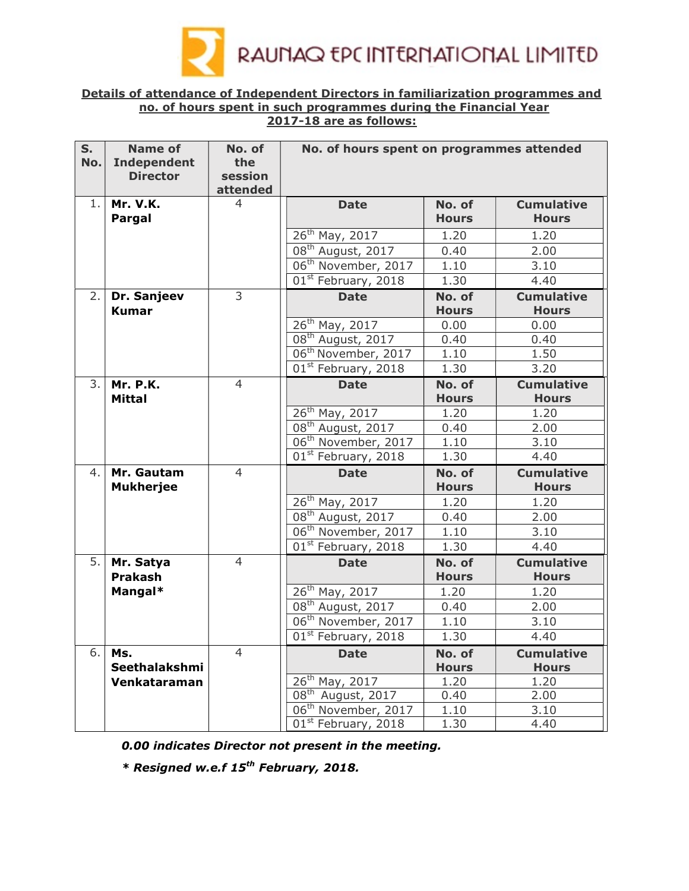

### Details of attendance of Independent Directors in familiarization programmes and no. of hours spent in such programmes during the Financial Year 2017-18 are as follows:

| S.  | <b>Name of</b>     | No. of         | No. of hours spent on programmes attended  |              |                   |  |
|-----|--------------------|----------------|--------------------------------------------|--------------|-------------------|--|
| No. | <b>Independent</b> | the            |                                            |              |                   |  |
|     | <b>Director</b>    | session        |                                            |              |                   |  |
|     |                    | attended       |                                            |              |                   |  |
| 1.  | <b>Mr. V.K.</b>    | 4              | <b>Date</b>                                | No. of       | <b>Cumulative</b> |  |
|     | Pargal             |                |                                            | <b>Hours</b> | <b>Hours</b>      |  |
|     |                    |                | $26^{th}$ May, 2017                        | 1.20         | 1.20              |  |
|     |                    |                | 08 <sup>th</sup> August, 2017              | 0.40         | 2.00              |  |
|     |                    |                | 06 <sup>th</sup> November, 2017            | 1.10         | 3.10              |  |
|     |                    |                | 01 <sup>st</sup> February, 2018            | 1.30         | 4.40              |  |
| 2.  | Dr. Sanjeev        | 3              | <b>Date</b>                                | No. of       | <b>Cumulative</b> |  |
|     | <b>Kumar</b>       |                |                                            | <b>Hours</b> | <b>Hours</b>      |  |
|     |                    |                | 26 <sup>th</sup> May, 2017                 | 0.00         | 0.00              |  |
|     |                    |                | 08 <sup>th</sup> August, 2017              | 0.40         | 0.40              |  |
|     |                    |                | 06 <sup>th</sup> November, 2017            | 1.10         | 1.50              |  |
|     |                    |                | 01 <sup>st</sup> February, 2018            | 1.30         | 3.20              |  |
| 3.  | <b>Mr. P.K.</b>    | $\overline{4}$ | <b>Date</b>                                | No. of       | <b>Cumulative</b> |  |
|     | <b>Mittal</b>      |                |                                            | <b>Hours</b> | <b>Hours</b>      |  |
|     |                    |                | 26 <sup>th</sup> May, 2017                 | 1.20         | 1.20              |  |
|     |                    |                | 08 <sup>th</sup> August, 2017              | 0.40         | 2.00              |  |
|     |                    |                | 06 <sup>th</sup> November, 2017            | 1.10         | 3.10              |  |
|     |                    |                | 01 <sup>st</sup> February, 2018            | 1.30         | 4.40              |  |
| 4.  | Mr. Gautam         | $\overline{4}$ | No. of<br><b>Date</b>                      |              | <b>Cumulative</b> |  |
|     | <b>Mukherjee</b>   |                |                                            | <b>Hours</b> | <b>Hours</b>      |  |
|     |                    |                | 26 <sup>th</sup> May, 2017                 | 1.20         | 1.20              |  |
|     |                    |                | 08 <sup>th</sup> August, 2017              | 0.40         | 2.00              |  |
|     |                    |                | 06 <sup>th</sup> November, 2017            | 1.10         | 3.10              |  |
|     |                    |                | 01 <sup>st</sup> February, 2018            | 1.30         | 4.40              |  |
| 5.  | Mr. Satya          | $\overline{4}$ | <b>Date</b>                                | No. of       | <b>Cumulative</b> |  |
|     | <b>Prakash</b>     |                |                                            | <b>Hours</b> | <b>Hours</b>      |  |
|     | Mangal*            |                | $26^{th}$ May, 2017                        | 1.20         | 1.20              |  |
|     |                    |                | 08 <sup>th</sup> August, 2017              | 0.40         | 2.00              |  |
|     |                    |                | 06 <sup>th</sup> November, 2017            | 1.10         | 3.10              |  |
|     |                    |                | 01 <sup>st</sup> February, 2018            | 1.30         | 4.40              |  |
| 6.  | Ms.                | $\overline{4}$ | <b>Date</b>                                | No. of       | <b>Cumulative</b> |  |
|     | Seethalakshmi      |                |                                            | <b>Hours</b> | <b>Hours</b>      |  |
|     | Venkataraman       |                | 26 <sup>th</sup> May, 2017                 | 1.20         | 1.20              |  |
|     |                    |                | $\overline{08}$ <sup>th</sup> August, 2017 | 0.40         | 2.00              |  |
|     |                    |                | 06 <sup>th</sup> November, 2017            | 1.10         | 3.10              |  |
|     |                    |                | 01 <sup>st</sup> February, 2018            | 1.30         | 4.40              |  |

0.00 indicates Director not present in the meeting.

 $*$  Resigned w.e.f 15<sup>th</sup> February, 2018.